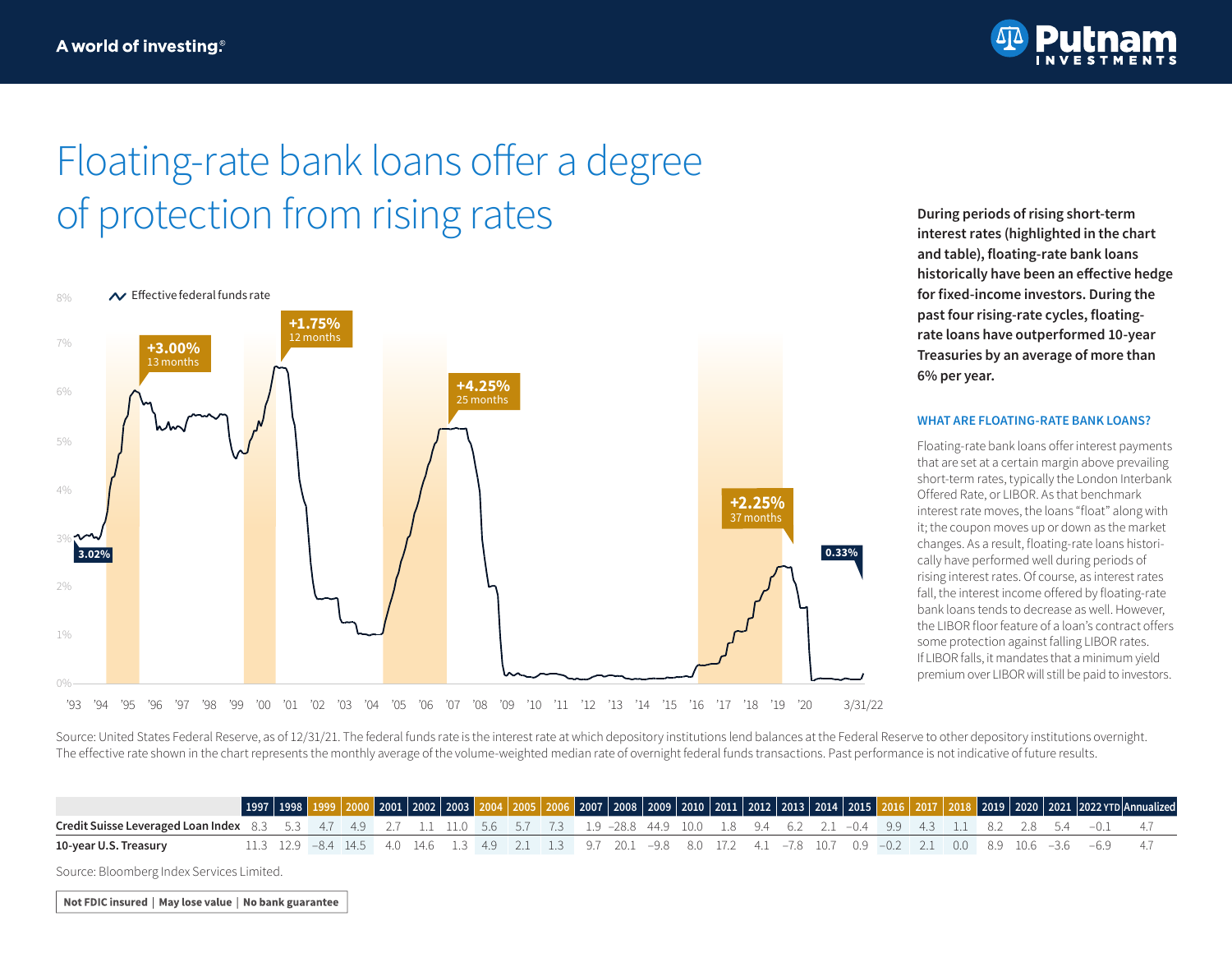

# Floating-rate bank loans offer a degree of protection from rising rates **During periods of rising short-term**



**interest rates (highlighted in the chart and table), floating-rate bank loans historically have been an effective hedge for fixed-income investors. During the past four rising-rate cycles, floatingrate loans have outperformed 10-year Treasuries by an average of more than 6% per year.**

#### **WHAT ARE FLOATING-RATE BANK LOANS?**

Floating-rate bank loans offer interest payments that are set at a certain margin above prevailing short-term rates, typically the London Interbank Offered Rate, or LIBOR. As that benchmark interest rate moves, the loans "float" along with it; the coupon moves up or down as the market changes. As a result, floating-rate loans historically have performed well during periods of rising interest rates. Of course, as interest rates fall, the interest income offered by floating-rate bank loans tends to decrease as well. However, the LIBOR floor feature of a loan's contract offers some protection against falling LIBOR rates. If LIBOR falls, it mandates that a minimum yield premium over LIBOR will still be paid to investors.

Source: United States Federal Reserve, as of 12/31/21. The federal funds rate is the interest rate at which depository institutions lend balances at the Federal Reserve to other depository institutions overnight. The effective rate shown in the chart represents the monthly average of the volume-weighted median rate of overnight federal funds transactions. Past performance is not indicative of future results.

|                                                                                                                                                              | $\vert$ 1997 $\vert$ 1998 $\vert$ |  | $\sqrt{2001}$ 2002 2003 |  |  |  |  |  |  |  |  |  |                                                                                                                           | 2019 2020 2021 2022 YTD Annualized |
|--------------------------------------------------------------------------------------------------------------------------------------------------------------|-----------------------------------|--|-------------------------|--|--|--|--|--|--|--|--|--|---------------------------------------------------------------------------------------------------------------------------|------------------------------------|
| <b>Credit Suisse Leveraged Loan Index</b> 8.3 5.3 4.7 4.9 2.7 1.1 11.0 5.6 5.7 7.3 1.9 -28.8 44.9 10.0 1.8 9.4 6.2 2.1 -0.4 9.9 4.3 1.1 8.2 2.8 5.4 -0.1 4.7 |                                   |  |                         |  |  |  |  |  |  |  |  |  |                                                                                                                           |                                    |
| 10-year U.S. Treasury                                                                                                                                        |                                   |  |                         |  |  |  |  |  |  |  |  |  | 11.3 12.9 -8.4 14.5 4.0 14.6 1.3 4.9 2.1 1.3 9.7 20.1 -9.8 8.0 17.2 4.1 -7.8 10.7 0.9 -0.2 2.1 0.0 8.9 10.6 -3.6 -6.9 4.7 |                                    |

Source: Bloomberg Index Services Limited.

Not FDIC insured | May lose value | No bank guarantee